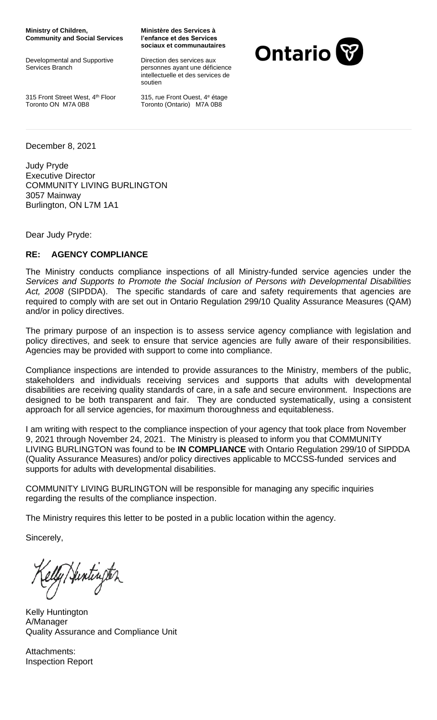**Ministry of Children, Community and Social Services**

Developmental and Supportive Services Branch

**Ministère des Services à l'enfance et des Services sociaux et communautaires**

Direction des services aux personnes ayant une déficience intellectuelle et des services de soutien

315 Front Street West, 4<sup>th</sup> Floor Toronto ON M7A 0B8

315, rue Front Ouest, 4<sup>e</sup> étage Toronto (Ontario) M7A 0B8



December 8, 2021

Judy Pryde Executive Director COMMUNITY LIVING BURLINGTON 3057 Mainway Burlington, ON L7M 1A1

Dear Judy Pryde:

## **RE: AGENCY COMPLIANCE**

The Ministry conducts compliance inspections of all Ministry-funded service agencies under the *Services and Supports to Promote the Social Inclusion of Persons with Developmental Disabilities Act, 2008* (SIPDDA). The specific standards of care and safety requirements that agencies are required to comply with are set out in Ontario Regulation 299/10 Quality Assurance Measures (QAM) and/or in policy directives.

The primary purpose of an inspection is to assess service agency compliance with legislation and policy directives, and seek to ensure that service agencies are fully aware of their responsibilities. Agencies may be provided with support to come into compliance.

Compliance inspections are intended to provide assurances to the Ministry, members of the public, stakeholders and individuals receiving services and supports that adults with developmental disabilities are receiving quality standards of care, in a safe and secure environment. Inspections are designed to be both transparent and fair. They are conducted systematically, using a consistent approach for all service agencies, for maximum thoroughness and equitableness.

I am writing with respect to the compliance inspection of your agency that took place from November 9, 2021 through November 24, 2021. The Ministry is pleased to inform you that COMMUNITY LIVING BURLINGTON was found to be **IN COMPLIANCE** with Ontario Regulation 299/10 of SIPDDA (Quality Assurance Measures) and/or policy directives applicable to MCCSS-funded services and supports for adults with developmental disabilities.

COMMUNITY LIVING BURLINGTON will be responsible for managing any specific inquiries regarding the results of the compliance inspection.

The Ministry requires this letter to be posted in a public location within the agency.

Sincerely,

lly/Hintinjter

Kelly Huntington A/Manager Quality Assurance and Compliance Unit

Attachments: Inspection Report